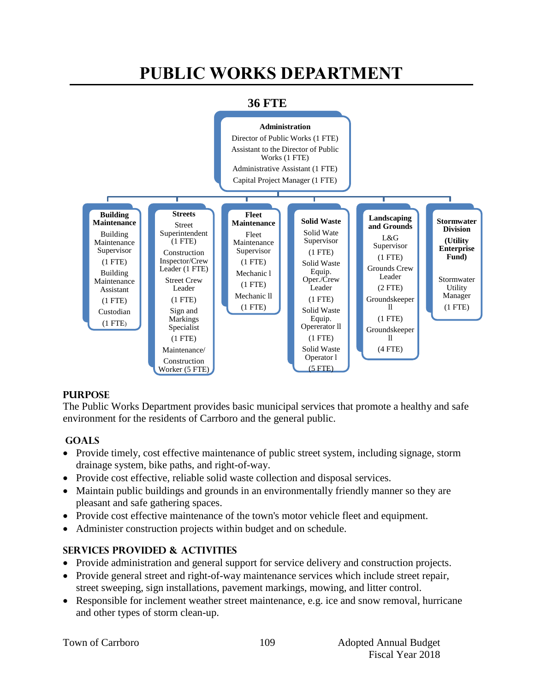# **PUBLIC WORKS DEPARTMENT**



## **36 FTE**

## **PURPOSE**

The Public Works Department provides basic municipal services that promote a healthy and safe environment for the residents of Carrboro and the general public.

## **GOALS**

- Provide timely, cost effective maintenance of public street system, including signage, storm drainage system, bike paths, and right-of-way.
- Provide cost effective, reliable solid waste collection and disposal services.
- Maintain public buildings and grounds in an environmentally friendly manner so they are pleasant and safe gathering spaces.
- Provide cost effective maintenance of the town's motor vehicle fleet and equipment.
- Administer construction projects within budget and on schedule.

## **Services PROVIDED & ACTIVITIES**

- Provide administration and general support for service delivery and construction projects.
- Provide general street and right-of-way maintenance services which include street repair, street sweeping, sign installations, pavement markings, mowing, and litter control.
- Responsible for inclement weather street maintenance, e.g. ice and snow removal, hurricane and other types of storm clean-up.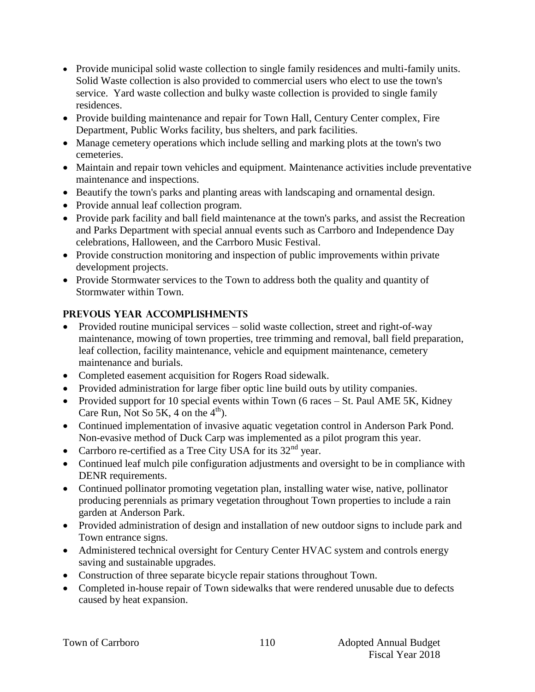- Provide municipal solid waste collection to single family residences and multi-family units. Solid Waste collection is also provided to commercial users who elect to use the town's service. Yard waste collection and bulky waste collection is provided to single family residences.
- Provide building maintenance and repair for Town Hall, Century Center complex, Fire Department, Public Works facility, bus shelters, and park facilities.
- Manage cemetery operations which include selling and marking plots at the town's two cemeteries.
- Maintain and repair town vehicles and equipment. Maintenance activities include preventative maintenance and inspections.
- Beautify the town's parks and planting areas with landscaping and ornamental design.
- Provide annual leaf collection program.
- Provide park facility and ball field maintenance at the town's parks, and assist the Recreation and Parks Department with special annual events such as Carrboro and Independence Day celebrations, Halloween, and the Carrboro Music Festival.
- Provide construction monitoring and inspection of public improvements within private development projects.
- Provide Stormwater services to the Town to address both the quality and quantity of Stormwater within Town.

## **PREVOUS YEAR ACCOMPLISHMENTS**

- Provided routine municipal services solid waste collection, street and right-of-way maintenance, mowing of town properties, tree trimming and removal, ball field preparation, leaf collection, facility maintenance, vehicle and equipment maintenance, cemetery maintenance and burials.
- Completed easement acquisition for Rogers Road sidewalk.
- Provided administration for large fiber optic line build outs by utility companies.
- Provided support for 10 special events within Town (6 races  $-$  St. Paul AME 5K, Kidney Care Run, Not So 5K, 4 on the  $4<sup>th</sup>$ .
- Continued implementation of invasive aquatic vegetation control in Anderson Park Pond. Non-evasive method of Duck Carp was implemented as a pilot program this year.
- Carrboro re-certified as a Tree City USA for its  $32<sup>nd</sup>$  year.
- Continued leaf mulch pile configuration adjustments and oversight to be in compliance with DENR requirements.
- Continued pollinator promoting vegetation plan, installing water wise, native, pollinator producing perennials as primary vegetation throughout Town properties to include a rain garden at Anderson Park.
- Provided administration of design and installation of new outdoor signs to include park and Town entrance signs.
- Administered technical oversight for Century Center HVAC system and controls energy saving and sustainable upgrades.
- Construction of three separate bicycle repair stations throughout Town.
- Completed in-house repair of Town sidewalks that were rendered unusable due to defects caused by heat expansion.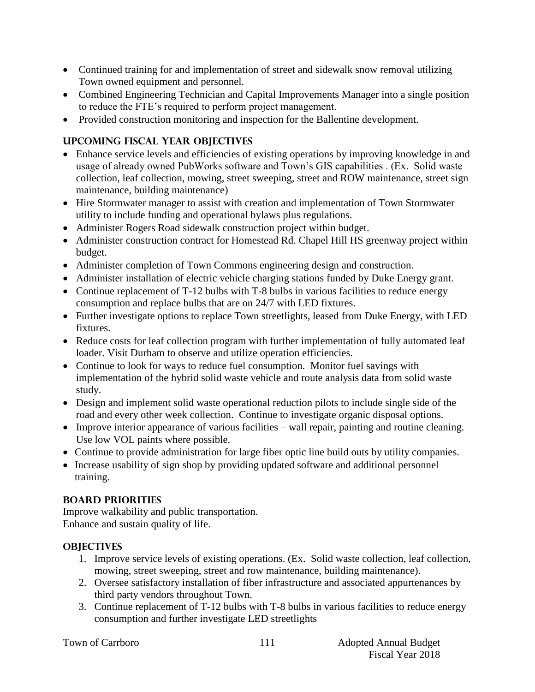- Continued training for and implementation of street and sidewalk snow removal utilizing Town owned equipment and personnel.
- Combined Engineering Technician and Capital Improvements Manager into a single position to reduce the FTE's required to perform project management.
- Provided construction monitoring and inspection for the Ballentine development.

## **UPCOMING FISCAL YEAR OBJECTIVES**

- Enhance service levels and efficiencies of existing operations by improving knowledge in and usage of already owned PubWorks software and Town's GIS capabilities . (Ex. Solid waste collection, leaf collection, mowing, street sweeping, street and ROW maintenance, street sign maintenance, building maintenance)
- Hire Stormwater manager to assist with creation and implementation of Town Stormwater utility to include funding and operational bylaws plus regulations.
- Administer Rogers Road sidewalk construction project within budget.
- Administer construction contract for Homestead Rd. Chapel Hill HS greenway project within budget.
- Administer completion of Town Commons engineering design and construction.
- Administer installation of electric vehicle charging stations funded by Duke Energy grant.
- Continue replacement of T-12 bulbs with T-8 bulbs in various facilities to reduce energy consumption and replace bulbs that are on 24/7 with LED fixtures.
- Further investigate options to replace Town streetlights, leased from Duke Energy, with LED fixtures.
- Reduce costs for leaf collection program with further implementation of fully automated leaf loader. Visit Durham to observe and utilize operation efficiencies.
- Continue to look for ways to reduce fuel consumption. Monitor fuel savings with implementation of the hybrid solid waste vehicle and route analysis data from solid waste study.
- Design and implement solid waste operational reduction pilots to include single side of the road and every other week collection. Continue to investigate organic disposal options.
- Improve interior appearance of various facilities wall repair, painting and routine cleaning. Use low VOL paints where possible.
- Continue to provide administration for large fiber optic line build outs by utility companies.
- Increase usability of sign shop by providing updated software and additional personnel training.

## **BOARD PRIORITIES**

Improve walkability and public transportation. Enhance and sustain quality of life.

## **OBJECTIVES**

- 1. Improve service levels of existing operations. (Ex. Solid waste collection, leaf collection, mowing, street sweeping, street and row maintenance, building maintenance).
- 2. Oversee satisfactory installation of fiber infrastructure and associated appurtenances by third party vendors throughout Town.
- 3. Continue replacement of T-12 bulbs with T-8 bulbs in various facilities to reduce energy consumption and further investigate LED streetlights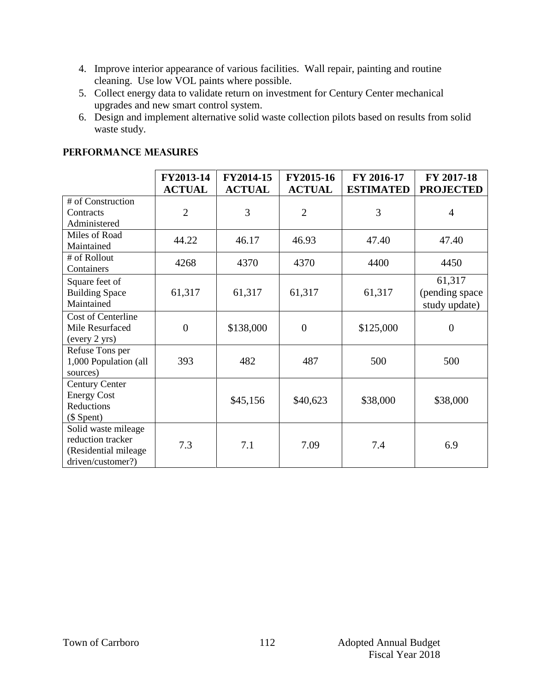- 4. Improve interior appearance of various facilities. Wall repair, painting and routine cleaning. Use low VOL paints where possible.
- 5. Collect energy data to validate return on investment for Century Center mechanical upgrades and new smart control system.
- 6. Design and implement alternative solid waste collection pilots based on results from solid waste study.

|                                                                                        | FY2013-14<br><b>ACTUAL</b> | FY2014-15<br><b>ACTUAL</b> | FY2015-16<br><b>ACTUAL</b> | FY 2016-17<br><b>ESTIMATED</b> | FY 2017-18<br><b>PROJECTED</b>             |
|----------------------------------------------------------------------------------------|----------------------------|----------------------------|----------------------------|--------------------------------|--------------------------------------------|
| # of Construction<br>Contracts<br>Administered                                         | $\overline{2}$             | 3                          | $\overline{2}$             | 3                              | $\overline{4}$                             |
| Miles of Road<br>Maintained                                                            | 44.22                      | 46.17                      | 46.93                      | 47.40                          | 47.40                                      |
| # of Rollout<br>Containers                                                             | 4268                       | 4370                       | 4370                       | 4400                           | 4450                                       |
| Square feet of<br><b>Building Space</b><br>Maintained                                  | 61,317                     | 61,317                     | 61,317                     | 61,317                         | 61,317<br>(pending space)<br>study update) |
| Cost of Centerline<br>Mile Resurfaced<br>(every 2 yrs)                                 | $\overline{0}$             | \$138,000                  | $\overline{0}$             | \$125,000                      | $\overline{0}$                             |
| Refuse Tons per<br>1,000 Population (all<br>sources)                                   | 393                        | 482                        | 487                        | 500                            | 500                                        |
| <b>Century Center</b><br><b>Energy Cost</b><br>Reductions<br>$($$ Spent)               |                            | \$45,156                   | \$40,623                   | \$38,000                       | \$38,000                                   |
| Solid waste mileage<br>reduction tracker<br>(Residential mileage)<br>driven/customer?) | 7.3                        | 7.1                        | 7.09                       | 7.4                            | 6.9                                        |

## **PERFORMANCE MEASURES**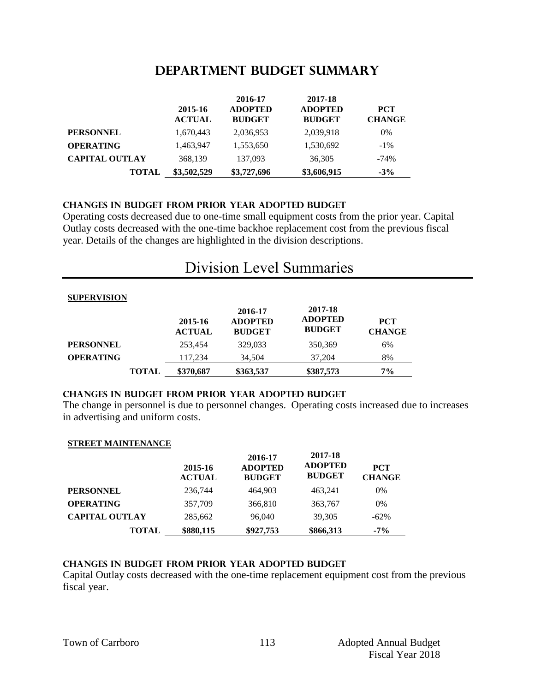## **DEPARTMENT Budget summary**

|                       | 2015-16<br><b>ACTUAL</b> | 2016-17<br><b>ADOPTED</b><br><b>BUDGET</b> | 2017-18<br><b>ADOPTED</b><br><b>BUDGET</b> | <b>PCT</b><br><b>CHANGE</b> |
|-----------------------|--------------------------|--------------------------------------------|--------------------------------------------|-----------------------------|
| <b>PERSONNEL</b>      | 1,670,443                | 2,036,953                                  | 2,039,918                                  | 0%                          |
| <b>OPERATING</b>      | 1,463,947                | 1,553,650                                  | 1,530,692                                  | $-1\%$                      |
| <b>CAPITAL OUTLAY</b> | 368,139                  | 137,093                                    | 36,305                                     | -74%                        |
| <b>TOTAL</b>          | \$3,502,529              | \$3,727,696                                | \$3,606,915                                | $-3%$                       |

#### **CHANGES IN BUDGET from PRIOR YEAR ADOPTED BUDGET**

Operating costs decreased due to one-time small equipment costs from the prior year. Capital Outlay costs decreased with the one-time backhoe replacement cost from the previous fiscal year. Details of the changes are highlighted in the division descriptions.

## Division Level Summaries

#### **SUPERVISION**

|                  |              | 2015-16<br><b>ACTUAL</b> | 2016-17<br><b>ADOPTED</b><br><b>BUDGET</b> | 2017-18<br><b>ADOPTED</b><br><b>BUDGET</b> | <b>PCT</b><br><b>CHANGE</b> |
|------------------|--------------|--------------------------|--------------------------------------------|--------------------------------------------|-----------------------------|
| <b>PERSONNEL</b> |              | 253,454                  | 329,033                                    | 350,369                                    | 6%                          |
| <b>OPERATING</b> |              | 117,234                  | 34.504                                     | 37,204                                     | 8%                          |
|                  | <b>TOTAL</b> | \$370,687                | \$363,537                                  | \$387,573                                  | $7\%$                       |

#### **changes in budget from prior year adopted budget**

The change in personnel is due to personnel changes. Operating costs increased due to increases in advertising and uniform costs.

#### **STREET MAINTENANCE**

|                       | 2015-16<br><b>ACTUAL</b> | 2016-17<br><b>ADOPTED</b><br><b>BUDGET</b> | 2017-18<br><b>ADOPTED</b><br><b>BUDGET</b> | <b>PCT</b><br><b>CHANGE</b> |
|-----------------------|--------------------------|--------------------------------------------|--------------------------------------------|-----------------------------|
| <b>PERSONNEL</b>      | 236,744                  | 464.903                                    | 463.241                                    | 0%                          |
| <b>OPERATING</b>      | 357,709                  | 366,810                                    | 363,767                                    | 0%                          |
| <b>CAPITAL OUTLAY</b> | 285,662                  | 96,040                                     | 39,305                                     | $-62\%$                     |
| <b>TOTAL</b>          | \$880,115                | \$927,753                                  | \$866,313                                  | $-7\%$                      |

#### **Changes in budget from prior year adopted budget**

Capital Outlay costs decreased with the one-time replacement equipment cost from the previous fiscal year.

113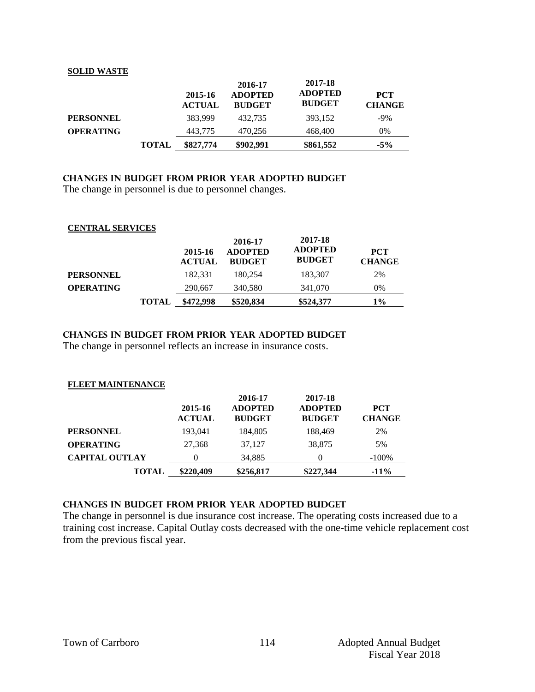#### **SOLID WASTE**

|                  |              | 2015-16<br><b>ACTUAL</b> | 2016-17<br><b>ADOPTED</b><br><b>BUDGET</b> | 2017-18<br><b>ADOPTED</b><br><b>BUDGET</b> | <b>PCT</b><br><b>CHANGE</b> |
|------------------|--------------|--------------------------|--------------------------------------------|--------------------------------------------|-----------------------------|
| <b>PERSONNEL</b> |              | 383.999                  | 432.735                                    | 393.152                                    | $-9\%$                      |
| <b>OPERATING</b> |              | 443,775                  | 470,256                                    | 468,400                                    | 0%                          |
|                  | <b>TOTAL</b> | \$827,774                | \$902,991                                  | \$861,552                                  | $-5\%$                      |

## **changes in budget from prior year adopted budget**

The change in personnel is due to personnel changes.

#### **CENTRAL SERVICES**

|                  |              | 2015-16<br><b>ACTUAL</b> | 2016-17<br><b>ADOPTED</b><br><b>BUDGET</b> | 2017-18<br><b>ADOPTED</b><br><b>BUDGET</b> | <b>PCT</b><br><b>CHANGE</b> |
|------------------|--------------|--------------------------|--------------------------------------------|--------------------------------------------|-----------------------------|
| <b>PERSONNEL</b> |              | 182.331                  | 180.254                                    | 183,307                                    | 2%                          |
| <b>OPERATING</b> |              | 290,667                  | 340,580                                    | 341,070                                    | 0%                          |
|                  | <b>TOTAL</b> | \$472,998                | \$520,834                                  | \$524,377                                  | 1%                          |

## **changes in budget from prior year adopted budget**

The change in personnel reflects an increase in insurance costs.

#### **FLEET MAINTENANCE**

|                       | 2015-16<br><b>ACTUAL</b> | 2016-17<br><b>ADOPTED</b><br><b>BUDGET</b> | 2017-18<br><b>ADOPTED</b><br><b>BUDGET</b> | <b>PCT</b><br><b>CHANGE</b> |
|-----------------------|--------------------------|--------------------------------------------|--------------------------------------------|-----------------------------|
| <b>PERSONNEL</b>      | 193,041                  | 184,805                                    | 188,469                                    | 2%                          |
| <b>OPERATING</b>      | 27,368                   | 37.127                                     | 38,875                                     | 5%                          |
| <b>CAPITAL OUTLAY</b> | 0                        | 34,885                                     | 0                                          | $-100\%$                    |
| <b>TOTAL</b>          | \$220,409                | \$256,817                                  | \$227,344                                  | $-11\%$                     |

#### **changes in budget from prior year adopted budget**

The change in personnel is due insurance cost increase. The operating costs increased due to a training cost increase. Capital Outlay costs decreased with the one-time vehicle replacement cost from the previous fiscal year.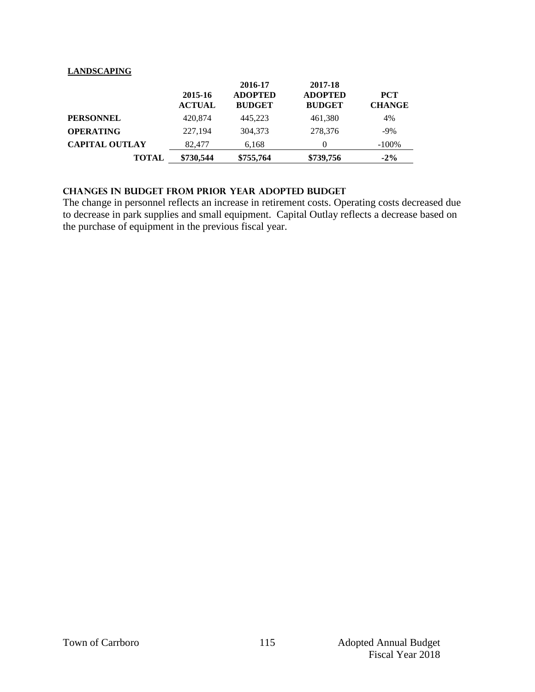#### **LANDSCAPING**

|                       | 2015-16<br><b>ACTUAL</b> | 2016-17<br><b>ADOPTED</b><br><b>BUDGET</b> | 2017-18<br><b>ADOPTED</b><br><b>BUDGET</b> | <b>PCT</b><br><b>CHANGE</b> |
|-----------------------|--------------------------|--------------------------------------------|--------------------------------------------|-----------------------------|
| <b>PERSONNEL</b>      | 420,874                  | 445.223                                    | 461,380                                    | 4%                          |
| <b>OPERATING</b>      | 227,194                  | 304,373                                    | 278,376                                    | $-9\%$                      |
| <b>CAPITAL OUTLAY</b> | 82,477                   | 6,168                                      |                                            | $-100\%$                    |
| <b>TOTAL</b>          | \$730,544                | \$755,764                                  | \$739,756                                  | $-2\%$                      |

## **changes in budget from prior year adopted budget**

The change in personnel reflects an increase in retirement costs. Operating costs decreased due to decrease in park supplies and small equipment. Capital Outlay reflects a decrease based on the purchase of equipment in the previous fiscal year.